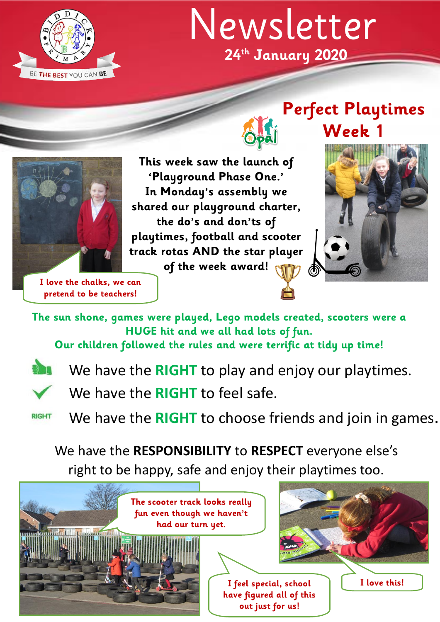

## **24th January 2020** Newsletter

**Week 1** 





**This week saw the launch of 'Playground Phase One.' In Monday's assembly we shared our playground charter, the do's and don'ts of playtimes, football and scooter track rotas AND the star player of the week award!**

**I love the chalks, we can pretend to be teachers!**

**The sun shone, games were played, Lego models created, scooters were a HUGE hit and we all had lots of fun.** 

**Our children followed the rules and were terrific at tidy up time!** 



We have the **RIGHT** to play and enjoy our playtimes.

We have the **RIGHT** to feel safe.

We have the **RIGHT** to choose friends and join in games. **RIGHT** 

We have the **RESPONSIBILITY** to **RESPECT** everyone else's

right to be happy, safe and enjoy their playtimes too.